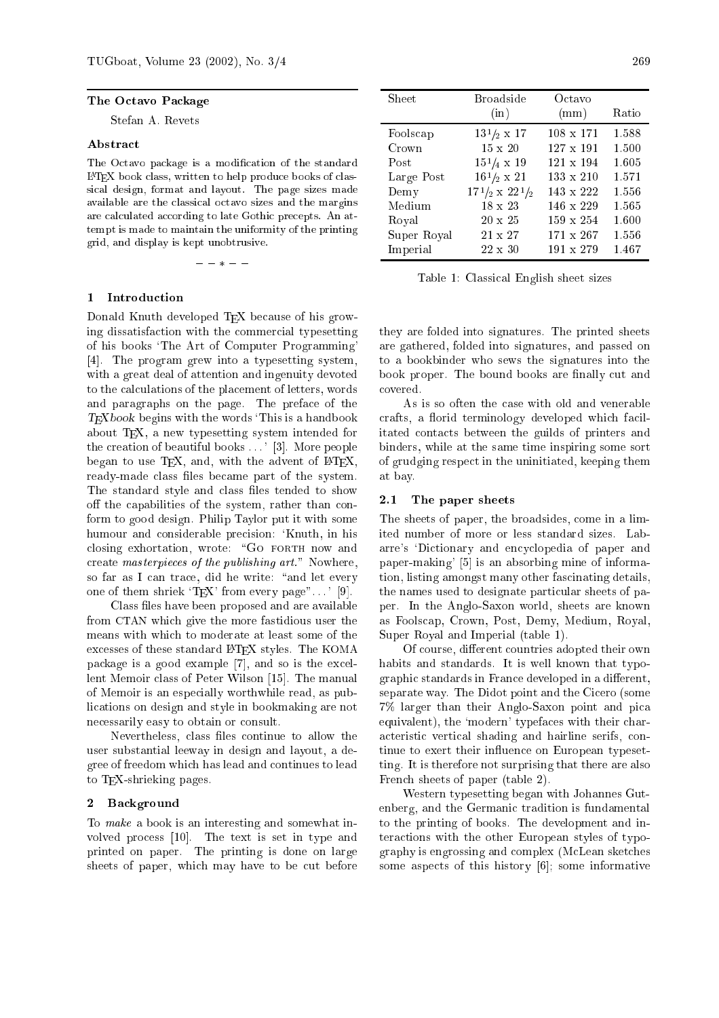### The O
tavo Pa
kage

Stefan A. Revets

### **Abstract**

The Octavo package is a modification of the standard LATEX book lass, written to help produ
e books of lassi
al design, format and layout. The page sizes made available are the classical octavo sizes and the margins are calculated according to late Gothic precepts. An attempt is made to maintain the uniformity of the printing grid, and display is kept unobtrusive.

 $- - * - -$ 

# 1 Introdu
tion

Donald Knuth developed TFX because of his growing dissatisfa
tion with the ommer
ial typesetting of his books `The Art of Computer Programming' [4]. The program grew into a typesetting system, with a great deal of attention and ingenuity devoted to the calculations of the placement of letters, words and paragraphs on the page. The prefa
e of the  $T_{F}X_{book}$  begins with the words 'This is a handbook about TEX, a new typesetting system intended for the creation of beautiful books . . . ' [3]. More people began to use  $T_F X$ , and, with the advent of  $B T_F X$ , ready-made class files became part of the system. The standard style and class files tended to show off the capabilities of the system, rather than conform to good design. Philip Taylor put it with some humour and onsiderable pre
ision: `Knuth, in his closing exhortation, wrote: "GO FORTH now and create masterpieces of the publishing art." Nowhere, so far as I can trace, did he write: "and let every one of them shriek 'T<sub>EX</sub>' from every page"....' [9].

Class files have been proposed and are available from CTAN whi
h give the more fastidious user the means with whi
h to moderate at least some of the excesses of these standard LAT<sub>EX</sub> styles. The KOMA package is a good example  $[7]$ , and so is the excellent Memoir class of Peter Wilson [15]. The manual of Memoir is an espe
ially worthwhile read, as publi
ations on design and style in bookmaking are not necessarily easy to obtain or consult.

Nevertheless, class files continue to allow the user substantial leeway in design and layout, a degree of freedom whi
h has lead and ontinues to lead to TEX-shrieking pages.

### $\mathbf{2}$ **Background**

To make a book is an interesting and somewhat involved process [10]. The text is set in type and printed on paper. The printing is done on large sheets of paper, which may have to be cut before

| Sheet       | <b>Broadside</b>          | Octavo           |       |
|-------------|---------------------------|------------------|-------|
|             | (in)                      | (mm)             | Ratio |
| Foolscap    | $13^{1/2} \times 17$      | $108 \times 171$ | 1.588 |
| Crown       | $15 \times 20$            | $127 \times 191$ | 1.500 |
| Post        | $15\frac{1}{4} \times 19$ | $121 \times 194$ | 1.605 |
| Large Post  | $16\frac{1}{2} \times 21$ | $133 \times 210$ | 1.571 |
| Demy        | $171/2 \times 221/2$      | $143 \times 222$ | 1.556 |
| Medium      | $18 \times 23$            | $146 \times 229$ | 1.565 |
| Royal       | $20 \times 25$            | $159 \times 254$ | 1.600 |
| Super Royal | $21 \times 27$            | $171 \times 267$ | 1.556 |
| Imperial    | $22 \times 30$            | $191 \times 279$ | 1.467 |

Table 1: Classi
al English sheet sizes

they are folded into signatures. The printed sheets are gathered, folded into signatures, and passed on to a bookbinder who sews the signatures into the book proper. The bound books are finally cut and overed.

As is so often the ase with old and venerable crafts, a florid terminology developed which facilitated onta
ts between the guilds of printers and binders, while at the same time inspiring some sort of grudging respe
t in the uninitiated, keeping them at bay.

# 2.1 The paper sheets

The sheets of paper, the broadsides, ome in a limited number of more or less standard sizes. Labarre's 'Dictionary and encyclopedia of paper and paper-making'  $[5]$  is an absorbing mine of information, listing amongst many other fascinating details, the names used to designate particular sheets of paper. In the Anglo-Saxon world, sheets are known as Foolscap, Crown, Post, Demy, Medium, Royal, Super Royal and Imperial (table 1).

Of course, different countries adopted their own habits and standards. It is well known that typographic standards in France developed in a different, separate way. The Didot point and the Cicero (some 7% larger than their Anglo-Saxon point and pi
a equivalent), the 'modern' typefaces with their chara
teristi verti
al shading and hairline serifs, ontinue to exert their influence on European typesetting. It is therefore not surprising that there are also Fren
h sheets of paper (table 2).

Western typesetting began with Johannes Gutenberg, and the Germanic tradition is fundamental to the printing of books. The development and interactions with the other European styles of typography is engrossing and omplex (M
Lean sket
hes some aspects of this history  $[6]$ ; some informative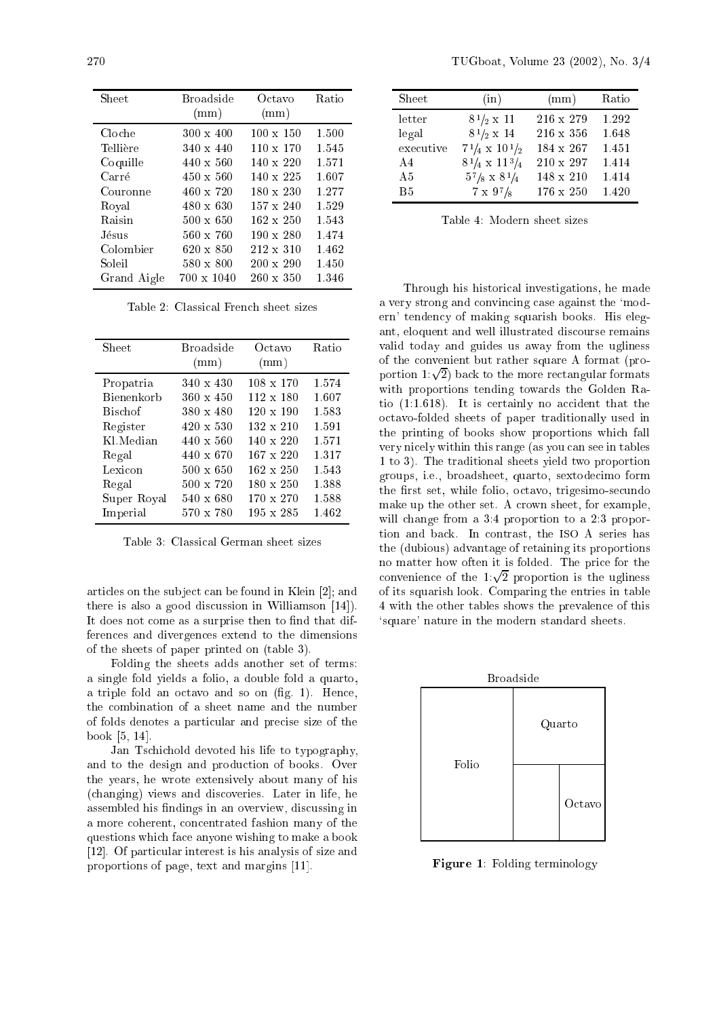| Sheet       | <b>Broadside</b><br>(mm) | Octavo<br>(mm)   | Ratio |
|-------------|--------------------------|------------------|-------|
| Cloche      | $300 \times 400$         | $100 \times 150$ | 1.500 |
| Tellière    | $340 \times 440$         | $110 \times 170$ | 1.545 |
| Coquille    | $440 \times 560$         | $140 \times 220$ | 1.571 |
| Carré       | $450 \times 560$         | $140 \times 225$ | 1.607 |
| Couronne    | $460 \times 720$         | $180 \times 230$ | 1.277 |
| Roval       | $480 \times 630$         | $157 \times 240$ | 1.529 |
| Raisin      | $500 \times 650$         | $162 \times 250$ | 1.543 |
| Jésus.      | $560 \times 760$         | $190 \times 280$ | 1.474 |
| Colombier   | $620 \times 850$         | $212 \times 310$ | 1.462 |
| Soleil      | $580 \times 800$         | $200 \times 290$ | 1.450 |
| Grand Aigle | $700 \times 1040$        | $260 \times 350$ | 1.346 |

Table 2: Classi
al Fren
h sheet sizes

| <b>Sheet</b>   | <b>Broadside</b> | Octavo           | Ratio |
|----------------|------------------|------------------|-------|
|                | (mm)             | (mm)             |       |
|                |                  |                  |       |
| Propatria      | $340 \times 430$ | $108 \times 170$ | 1.574 |
| Bienenkorb     | $360 \times 450$ | $112 \times 180$ | 1.607 |
| <b>Bischof</b> | 380 x 480        | $120 \times 190$ | 1.583 |
| Register       | $420 \times 530$ | $132 \times 210$ | 1.591 |
| Kl.Median      | $440 \times 560$ | $140 \times 220$ | 1.571 |
| Regal          | 440 x 670        | $167 \times 220$ | 1.317 |
| Lexicon        | $500 \times 650$ | $162 \times 250$ | 1.543 |
| Regal          | $500 \times 720$ | $180 \times 250$ | 1.388 |
| Super Royal    | 540 x 680        | $170 \times 270$ | 1.588 |
| Imperial       | $570 \times 780$ | $195 \times 285$ | 1.462 |

Table 3: Classi
al German sheet sizes

articles on the subject can be found in Klein [2]; and there is also a good discussion in Williamson  $[14]$ . It does not come as a surprise then to find that differen
es and divergen
es extend to the dimensions of the sheets of paper printed on (table 3).

Folding the sheets adds another set of terms: a single fold yields a folio, a double fold a quarto, a triple fold an octavo and so on (fig. 1). Hence, the ombination of a sheet name and the number of folds denotes a parti
ular and pre
ise size of the  $book$  [5, 14].

Jan Ts
hi
hold devoted his life to typography, and to the design and produ
tion of books. Over the years, he wrote extensively about many of his (
hanging) views and dis
overies. Later in life, he assembled his findings in an overview, discussing in a more oherent, on
entrated fashion many of the questions whi
h fa
e anyone wishing to make a book [12]. Of particular interest is his analysis of size and proportions of page, text and margins [11].

| Sheet     | (in)                            | (mm)             | Ratio |
|-----------|---------------------------------|------------------|-------|
| letter    | $8^{1}/_{2} \times 11$          | $216 \times 279$ | 1.292 |
| legal     | $8^{1}/_{2} \times 14$          | $216 \times 356$ | 1.648 |
| executive | $7^{1}/_{4} \times 10^{1}/_{2}$ | $184 \times 267$ | 1.451 |
| A4        | $8^{1}/_{4} \times 11^{3}/_{4}$ | $210 \times 297$ | 1.414 |
| A5        | $5^{7}/_{8} \times 8^{1}/_{4}$  | $148 \times 210$ | 1.414 |
| <b>B5</b> | $7 \times 97/8$                 | $176 \times 250$ | 1.420 |

Table 4: Modern sheet sizes

Through his histori
al investigations, he made a very strong and convincing case against the 'modern' tenden
y of making squarish books. His elegant, eloquent and well illustrated dis
ourse remains valid today and guides us away from the ugliness of the onvenient but rather square A format (proportion 1: $\sqrt{2}$ ) back to the more rectangular formats with proportions tending towards the Golden Ratio  $(1:1.618)$ . It is certainly no accident that the o
tavo-folded sheets of paper traditionally used in the printing of books show proportions whi
h fall very ni
ely within this range (as you an see in tables 1 to 3). The traditional sheets yield two proportion groups, i.e., broadsheet, quarto, sextode
imo form the first set, while folio, octavo, trigesimo-secundo make up the other set. A crown sheet, for example, will change from a 3:4 proportion to a 2:3 proportion and ba
k. In ontrast, the ISO A series has the (dubious) advantage of retaining its proportions no matter how often it is folded. The pri
e for the convenience of the  $1:\sqrt{2}$  proportion is the ugliness of its squarish look. Comparing the entries in table 4 with the other tables shows the prevalen
e of this `square' nature in the modern standard sheets.



Figure 1: Folding terminology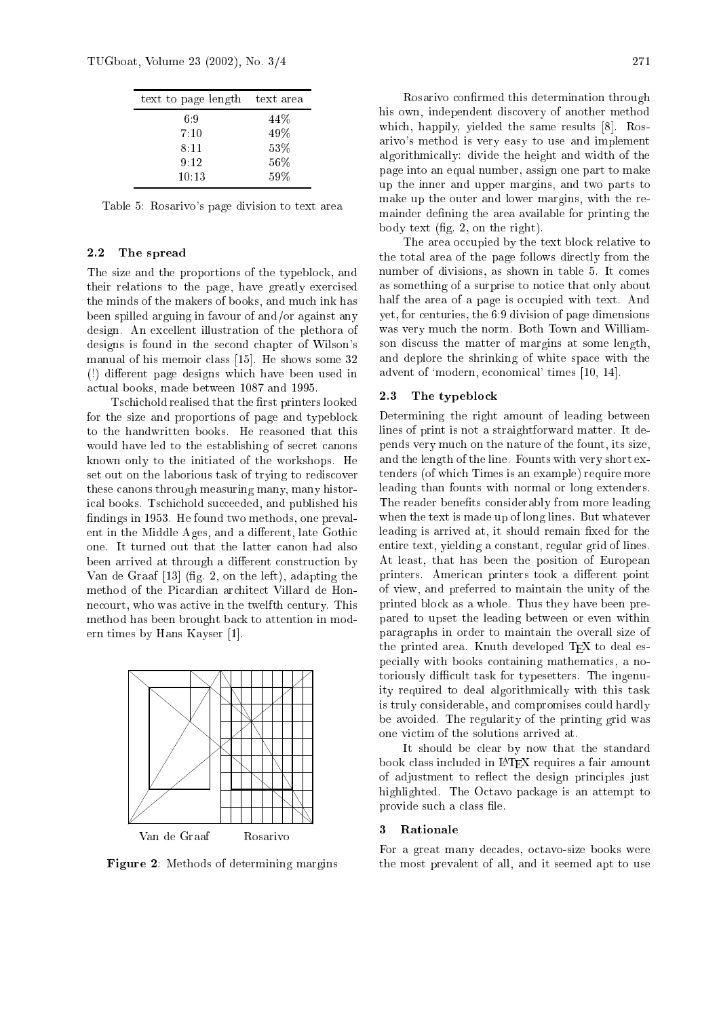| text to page length | text area |
|---------------------|-----------|
| 69                  | 44\%      |
| 7:10                | 49%       |
| 8:11                | $53\%$    |
| 9:12                | $56\%$    |
| 10:13               | 59%       |

Table 5: Rosarivo's page division to text area

## 2.2 The spread

The size and the proportions of the typeblo
k, and their relations to the page, have greatly exer
ised the minds of the makers of books, and mu
h ink has been spilled arguing in favour of and/or against any design. An ex
ellent illustration of the plethora of designs is found in the se
ond hapter of Wilson's manual of his memoir class  $[15]$ . He shows some 32 (!) different page designs which have been used in a
tual books, made between 1087 and 1995.

Tschichold realised that the first printers looked for the size and proportions of page and typeblo
k to the handwritten books. He reasoned that this would have led to the establishing of secret canons known only to the initiated of the workshops. He set out on the laborious task of trying to rediscover these anons through measuring many, many historical books. Tschichold succeeded, and published his findings in 1953. He found two methods, one prevalent in the Middle Ages, and a different, late Gothic one. It turned out that the latter anon had also been arrived at through a different construction by Van de Graaf  $[13]$  (fig. 2, on the left), adapting the method of the Picardian architect Villard de Honnecourt, who was active in the twelfth century. This method has been brought ba
k to attention in modern times by Hans Kayser  $[1]$ .



Figure 2: Methods of determining margins

Rosarivo confirmed this determination through his own, independent dis
overy of another method which, happily, yielded the same results [8]. Rosarivo's method is very easy to use and implement algorithmi
ally: divide the height and width of the

page into an equal number, assign one part to make up the inner and upper margins, and two parts to make up the outer and lower margins, with the remainder defining the area available for printing the body text (fig. 2, on the right). The area occupied by the text block relative to

the total area of the page follows directly from the number of divisions, as shown in table 5. It comes as something of a surprise to noti
e that only about half the area of a page is occupied with text. And yet, for enturies, the 6:9 division of page dimensions was very mu
h the norm. Both Town and Williamson dis
uss the matter of margins at some length, and deplore the shrinking of white spa
e with the advent of 'modern, economical' times [10, 14].

# 2.3 The typeblo
k

Determining the right amount of leading between lines of print is not a straightforward matter. It depends very mu
h on the nature of the fount, its size, and the length of the line. Founts with very short extenders (of whi
h Times is an example) require more leading than founts with normal or long extenders. The reader benefits considerably from more leading when the text is made up of long lines. But whatever leading is arrived at, it should remain fixed for the entire text, yielding a onstant, regular grid of lines. At least, that has been the position of European printers. American printers took a different point of view, and preferred to maintain the unity of the printed blo
k as a whole. Thus they have been prepared to upset the leading between or even within paragraphs in order to maintain the overall size of the printed area. Knuth developed T<sub>F</sub>X to deal espe
ially with books ontaining mathemati
s, a notoriously difficult task for typesetters. The ingenuity required to deal algorithmi
ally with this task is truly onsiderable, and ompromises ould hardly be avoided. The regularity of the printing grid was one vi
tim of the solutions arrived at.

It should be lear by now that the standard book class included in LAT<sub>EX</sub> requires a fair amount of adjustment to reflect the design principles just highlighted. The O
tavo pa
kage is an attempt to provide su
h a lass le.

## 3 Rationale

For a great many decades, octavo-size books were the most prevalent of all, and it seemed apt to use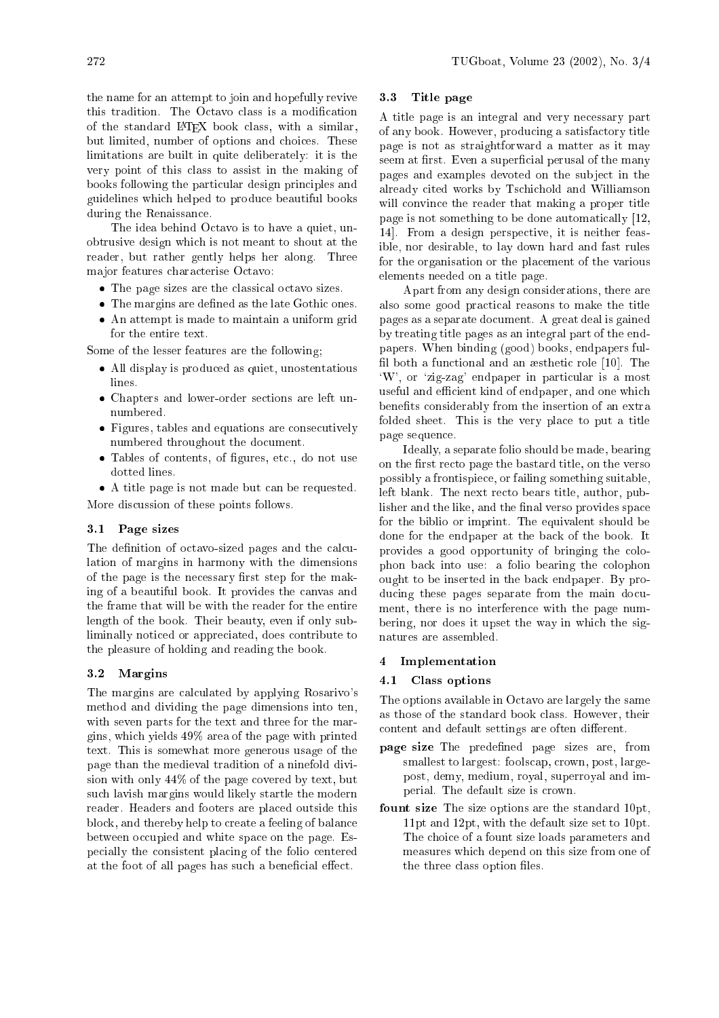the name for an attempt to join and hopefully revive this tradition. The Octavo class is a modification of the standard LATEX book lass, with a similar, but limited, number of options and hoi
es. These limitations are built in quite deliberately: it is the very point of this lass to assist in the making of books following the particular design principles and guidelines whi
h helped to produ
e beautiful books during the Renaissan
e.

The idea behind Octavo is to have a quiet, unobtrusive design whi
h is not meant to shout at the reader, but rather gently helps her along. Three ma jor features hara
terise O
tavo:

- The page sizes are the classical octavo sizes.
- The margins are defined as the late Gothic ones.
- An attempt is made to maintain a uniform grid for the entire text.

Some of the lesser features are the following;

- All display is produ
ed as quiet, unostentatious lines.
- Chapters and lower-order se
tions are left unnumbered.
- Figures, tables and equations are consecutively numbered throughout the document.
- Tables of contents, of figures, etc., do not use dotted lines.

 A title page is not made but an be requested. More dis
ussion of these points follows.

# 3.1 Page sizes

The definition of octavo-sized pages and the calculation of margins in harmony with the dimensions of the page is the necessary first step for the making of a beautiful book. It provides the anvas and the frame that will be with the reader for the entire length of the book. Their beauty, even if only subliminally noti
ed or appre
iated, does ontribute to the pleasure of holding and reading the book.

# 3.2 Margins

The margins are calculated by applying Rosarivo's method and dividing the page dimensions into ten, with seven parts for the text and three for the margins, whi
h yields 49% area of the page with printed text. This is somewhat more generous usage of the page than the medieval tradition of a ninefold division with only 44% of the page covered by text, but su
h lavish margins would likely startle the modern reader. Headers and footers are pla
ed outside this block, and thereby help to create a feeling of balance between occupied and white space on the page. Espe
ially the onsistent pla
ing of the folio entered at the foot of all pages has such a beneficial effect.

# 3.3 Title page

A title page is an integral and very ne
essary part of any book. However, produ
ing a satisfa
tory title page is not as straightforward a matter as it may seem at first. Even a superficial perusal of the many pages and examples devoted on the sub je
t in the already cited works by Tschichold and Williamson will convince the reader that making a proper title page is not something to be done automati
ally [12, 14. From a design perspective, it is neither feasible, nor desirable, to lay down hard and fast rules for the organisation or the pla
ement of the various elements needed on a title page.

Apart from any design onsiderations, there are also some good practical reasons to make the title pages as a separate do
ument. A great deal is gained by treating title pages as an integral part of the endpapers. When binding (good) books, endpapers ful fil both a functional and an æsthetic role  $[10]$ . The `W', or `zig-zag' endpaper in parti
ular is a most useful and efficient kind of endpaper, and one which benefits considerably from the insertion of an extra folded sheet. This is the very place to put a title page sequen
e.

Ideally, a separate folio should be made, bearing on the first recto page the bastard title, on the verso possibly a frontispie
e, or failing something suitable, left blank. The next recto bears title, author, publisher and the like, and the final verso provides space for the biblio or imprint. The equivalent should be done for the endpaper at the ba
k of the book. It provides a good opportunity of bringing the olophon ba
k into use: a folio bearing the olophon ought to be inserted in the ba
k endpaper. By producing these pages separate from the main document, there is no interferen
e with the page numbering, nor does it upset the way in whi
h the signatures are assembled.

## 4 Implementation

#### Class options  $4.1$

The options available in O
tavo are largely the same as those of the standard book lass. However, their content and default settings are often different.

- page size The predefined page sizes are, from smallest to largest: foolscap, crown, post, largepost, demy, medium, royal, superroyal and imperial. The default size is rown.
- fount size The size options are the standard 10pt, 11pt and 12pt, with the default size set to 10pt. The choice of a fount size loads parameters and measures whi
h depend on this size from one of the three class option files.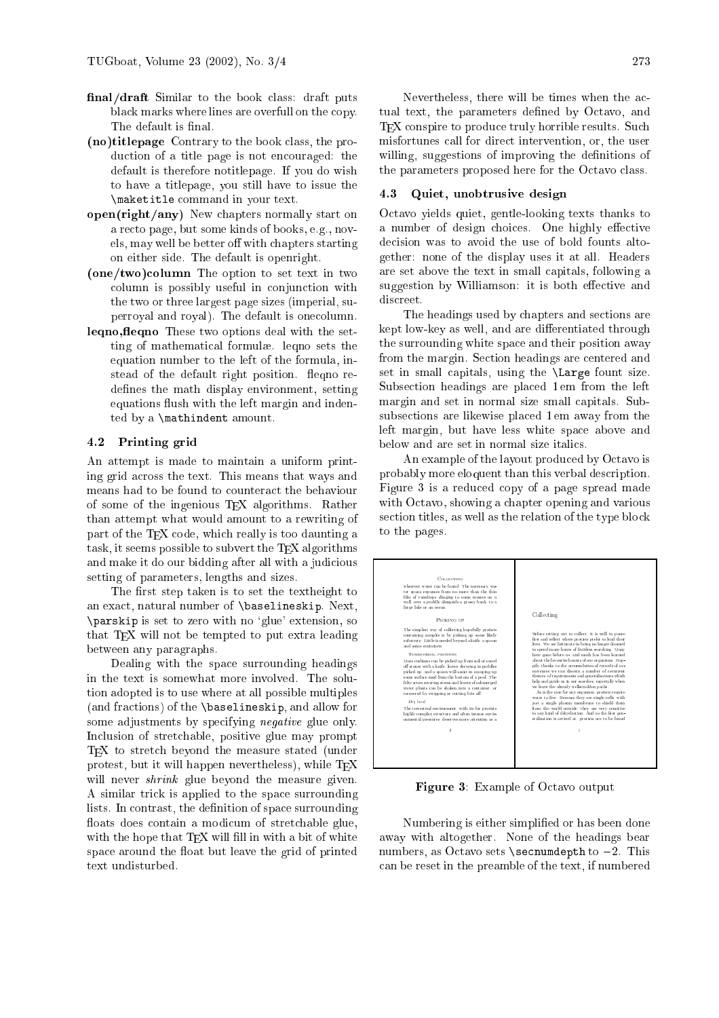- final/draft Similar to the book class: draft puts black marks where lines are overfull on the copy. The default is final.
- (no)titlepage Contrary to the book lass, the production of a title page is not encouraged: the default is therefore notitlepage. If you do wish to have a titlepage, you still have to issue the \maketitle ommand in your text.
- open(right/any) New hapters normally start on a re
to page, but some kinds of books, e.g., novels, may well be better off with chapters starting on either side. The default is openright.
- $(one/two) column$  The option to set text in two olumn is possibly useful in onjun
tion with the two or three largest page sizes (imperial, superroyal and royal). The default is one
olumn.
- leqno, fleqno These two options deal with the setting of mathematical formulæ. legno sets the equation number to the left of the formula, instead of the default right position. fleqno redefines the math display environment, setting equations flush with the left margin and indented by a \mathindent amount.

# 4.2 Printing grid

An attempt is made to maintain a uniform printing grid a
ross the text. This means that ways and means had to be found to counteract the behaviour of some of the ingenious TEX algorithms. Rather than attempt what would amount to a rewriting of part of the TEX code, which really is too daunting a task, it seems possible to subvert the  $T_{F}X$  algorithms and make it do our bidding after all with a judicious setting of parameters, lengths and sizes.

The first step taken is to set the textheight to an exa
t, natural number of \baselineskip. Next, \parskip is set to zero with no `glue' extension, so that T<sub>E</sub>X will not be tempted to put extra leading between any paragraphs.

Dealing with the spa
e surrounding headings in the text is somewhat more involved. The solution adopted is to use where at all possible multiples (and fra
tions) of the \baselineskip, and allow for some adjustments by specifying *negative* glue only. In
lusion of stret
hable, positive glue may prompt T<sub>E</sub>X to stretch beyond the measure stated (under protest, but it will happen nevertheless), while T<sub>F</sub>X will never *shrink* glue beyond the measure given. A similar tri
k is applied to the spa
e surrounding lists. In contrast, the definition of space surrounding floats does contain a modicum of stretchable glue, with the hope that TEX will fill in with a bit of white space around the float but leave the grid of printed text undisturbed.

Nevertheless, there will be times when the actual text, the parameters defined by Octavo, and T<sub>EX</sub> conspire to produce truly horrible results. Such misfortunes all for dire
t intervention, or, the user willing, suggestions of improving the definitions of the parameters proposed here for the Octavo class.

# 4.3 Quiet, unobtrusive design

O
tavo yields quiet, gentle-looking texts thanks to a number of design choices. One highly effective decision was to avoid the use of bold founts altogether: none of the display uses it at all. Headers are set above the text in small apitals, following a suggestion by Williamson: it is both effective and discreet.

The headings used by hapters and se
tions are kept low-key as well, and are differentiated through the surrounding white spa
e and their position away from the margin. Section headings are centered and set in small apitals, using the \Large fount size. Subse
tion headings are pla
ed 1 em from the left margin and set in normal size small apitals. Subsubse
tions are likewise pla
ed 1 em away from the left margin, but have less white spa
e above and below and are set in normal size itali
s.

An example of the layout produ
ed by O
tavo is probably more eloquent than this verbal des
ription. Figure 3 is a redu
ed opy of a page spread made with Octavo, showing a chapter opening and various section titles, as well as the relation of the type block to the pages.



Figure 3: Example of Octavo output

Numbering is either simplified or has been done away with altogether. None of the headings bear numbers, as Octavo sets  $\searrow$  secnumdepth to  $-2$ . This an be reset in the preamble of the text, if numbered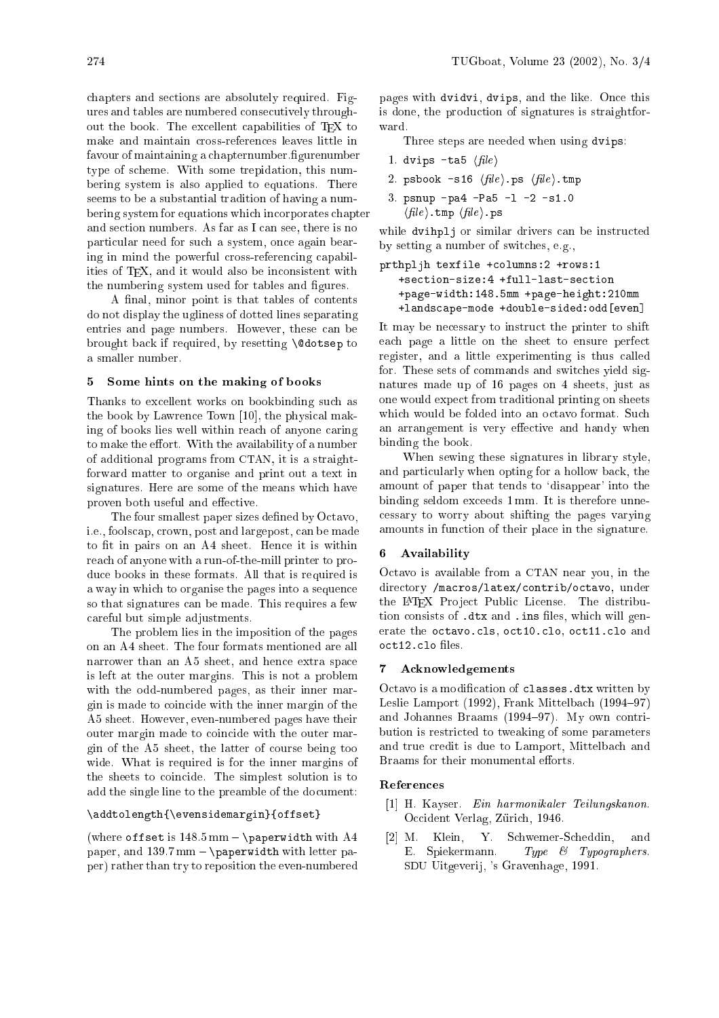hapters and se
tions are absolutely required. Figures and tables are numbered onse
utively throughout the book. The excellent capabilities of TEX to make and maintain ross-referen
es leaves little in favour of maintaining a chapternumber. figurenumber type of s
heme. With some trepidation, this numbering system is also applied to equations. There seems to be a substantial tradition of having a numbering system for equations whi
h in
orporates 
hapter and section numbers. As far as I can see, there is no parti
ular need for su
h a system, on
e again bearing in mind the powerful cross-referencing capabilities of T<sub>F</sub>X, and it would also be inconsistent with the numbering system used for tables and figures.

A final, minor point is that tables of contents do not display the ugliness of dotted lines separating entries and page numbers. However, these can be brought back if required, by resetting **\@dotsep** to a smaller number.

## 5 Some hints on the making of books

Thanks to ex
ellent works on bookbinding su
h as the book by Lawrence Town  $[10]$ , the physical making of books lies well within rea
h of anyone aring to make the effort. With the availability of a number of additional programs from CTAN, it is a straightforward matter to organise and print out a text in signatures. Here are some of the means whi
h have proven both useful and effective.

The four smallest paper sizes defined by Octavo, i.e., foolscap, crown, post and largepost, can be made to fit in pairs on an A4 sheet. Hence it is within rea
h of anyone with a run-of-the-mill printer to produ
e books in these formats. All that is required is a way in which to organise the pages into a sequence so that signatures can be made. This requires a few areful but simple adjustments.

The problem lies in the imposition of the pages on an A4 sheet. The four formats mentioned are all narrower than an A5 sheet, and hen
e extra spa
e is left at the outer margins. This is not a problem with the odd-numbered pages, as their inner margin is made to oin
ide with the inner margin of the A5 sheet. However, even-numbered pages have their outer margin made to oin
ide with the outer margin of the A5 sheet, the latter of ourse being too wide. What is required is for the inner margins of the sheets to coincide. The simplest solution is to add the single line to the preamble of the do
ument:

# \addtolength{\evensidemargin}{offset}

(where offset is  $148.5 \text{ mm} - \text{baperwidth with } A4$ paper, and  $139.7 \text{mm}$  - \paperwidth with letter paper) rather than try to reposition the even-numbered

pages with dvidvi, dvips, and the like. Once this is done, the produ
tion of signatures is straightforward.

Three steps are needed when using dvips:

- 1. dvips -ta5  $\langle file \rangle$
- 2. psbook  $-s16 \langle file \rangle$ .ps  $\langle file \rangle$ .tmp
- 3. psnup -pa4 -Pa5 -l -2 -s1.0
- $\langle file \rangle$ .tmp  $\langle file \rangle$ .ps

while dvihplj or similar drivers can be instructed by setting a number of swit
hes, e.g.,

```
produced the control of the control of the control of the control of the control of the control of the control of the control of the control of the control of the control of the control of the control of the control of the
        +page-width:148.5mm +page-height:210mm
        +lands
ape-mode +double-sided:odd[even℄
```
It may be ne
essary to instru
t the printer to shift ea
h page a little on the sheet to ensure perfe
t register, and a little experimenting is thus alled for. These sets of ommands and swit
hes yield signatures made up of 16 pages on 4 sheets, just as one would expe
t from traditional printing on sheets which would be folded into an octavo format. Such an arrangement is very effective and handy when binding the book.

When sewing these signatures in library style, and particularly when opting for a hollow back, the amount of paper that tends to 'disappear' into the binding seldom ex
eeds 1 mm. It is therefore unne essary to worry about shifting the pages varying amounts in fun
tion of their pla
e in the signature.

### **Availability** 6.

O
tavo is available from a CTAN near you, in the directory /macros/latex/contrib/octavo, under the L<sup>AT</sup>EX Project Public License. The distribution consists of .dtx and .ins files, which will generate the octavo.cls, oct10.clo, oct11.clo and

#### **Acknowledgements**  $\overline{7}$

Octavo is a modification of classes.dtx written by Leslie Lamport  $(1992)$ , Frank Mittelbach  $(1994-97)$ and Johannes Braams  $(1994-97)$ . My own contribution is restri
ted to tweaking of some parameters and true credit is due to Lamport, Mittelbach and Braams for their monumental efforts.

# Referen
es

- [1] H. Kayser. Ein harmonikaler Teilungskanon. Occident Verlag, Zürich, 1946.
- [2] M. Klein, Y. Schwemer-Scheddin, and E. Spiekermann. Type & Typographers. SDU Uitgeverij, 's Gravenhage, 1991.